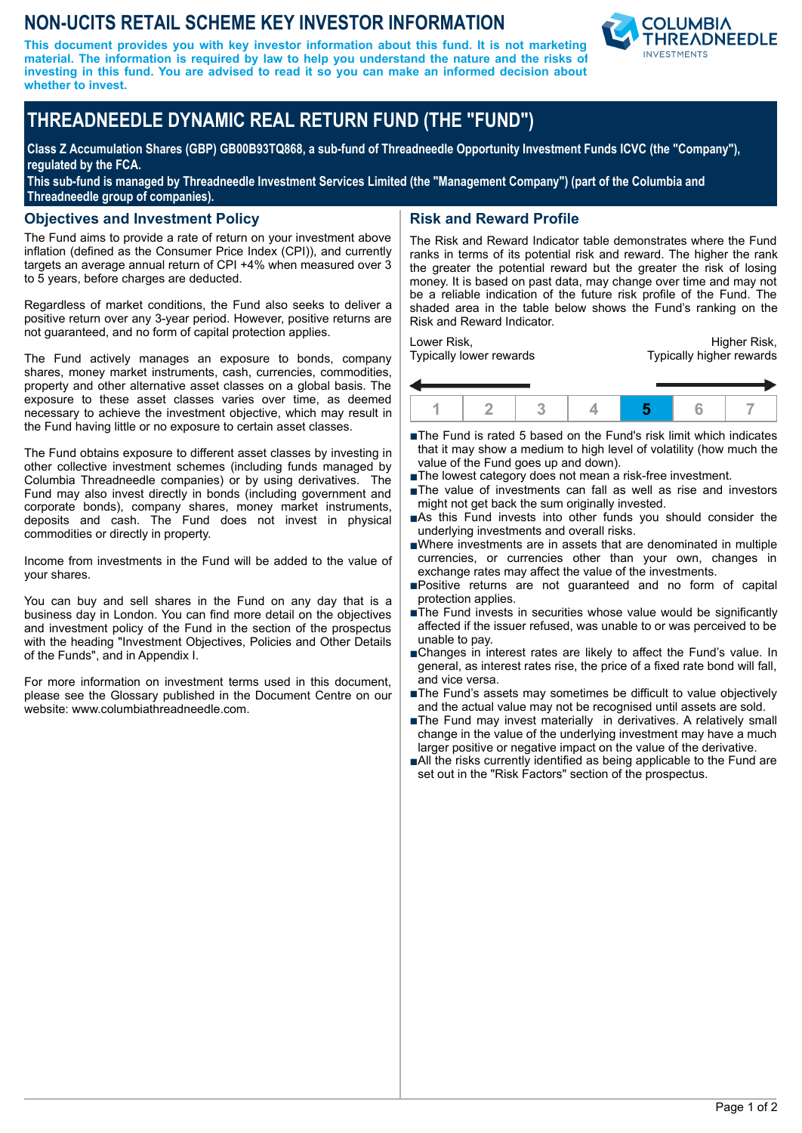# **NON-UCITS RETAIL SCHEME KEY INVESTOR INFORMATION**

**This document provides you with key investor information about this fund. It is not marketing material. The information is required by law to help you understand the nature and the risks of investing in this fund. You are advised to read it so you can make an informed decision about whether to invest.**



# **THREADNEEDLE DYNAMIC REAL RETURN FUND (THE "FUND")**

**Class Z Accumulation Shares (GBP) GB00B93TQ868, a sub-fund of Threadneedle Opportunity Investment Funds ICVC (the "Company"), regulated by the FCA.**

**This sub-fund is managed by Threadneedle Investment Services Limited (the "Management Company") (part of the Columbia and Threadneedle group of companies).**

### **Objectives and Investment Policy**

The Fund aims to provide a rate of return on your investment above inflation (defined as the Consumer Price Index (CPI)), and currently targets an average annual return of CPI +4% when measured over 3 to 5 years, before charges are deducted.

Regardless of market conditions, the Fund also seeks to deliver a positive return over any 3-year period. However, positive returns are not guaranteed, and no form of capital protection applies.

The Fund actively manages an exposure to bonds, company shares, money market instruments, cash, currencies, commodities, property and other alternative asset classes on a global basis. The exposure to these asset classes varies over time, as deemed necessary to achieve the investment objective, which may result in the Fund having little or no exposure to certain asset classes.

The Fund obtains exposure to different asset classes by investing in other collective investment schemes (including funds managed by Columbia Threadneedle companies) or by using derivatives. The Fund may also invest directly in bonds (including government and corporate bonds), company shares, money market instruments, deposits and cash. The Fund does not invest in physical commodities or directly in property.

Income from investments in the Fund will be added to the value of your shares.

You can buy and sell shares in the Fund on any day that is a business day in London. You can find more detail on the objectives and investment policy of the Fund in the section of the prospectus with the heading "Investment Objectives, Policies and Other Details of the Funds", and in Appendix I.

For more information on investment terms used in this document, please see the Glossary published in the Document Centre on our website: www.columbiathreadneedle.com.

# **Risk and Reward Profile**

The Risk and Reward Indicator table demonstrates where the Fund ranks in terms of its potential risk and reward. The higher the rank the greater the potential reward but the greater the risk of losing money. It is based on past data, may change over time and may not be a reliable indication of the future risk profile of the Fund. The shaded area in the table below shows the Fund's ranking on the Risk and Reward Indicator.

Lower Risk, Typically lower rewards

Higher Risk, Typically higher rewards



- ■The Fund is rated 5 based on the Fund's risk limit which indicates that it may show a medium to high level of volatility (how much the value of the Fund goes up and down).
- The lowest category does not mean a risk-free investment.
- nThe value of investments can fall as well as rise and investors might not get back the sum originally invested.
- nAs this Fund invests into other funds you should consider the underlying investments and overall risks.
- nWhere investments are in assets that are denominated in multiple currencies, or currencies other than your own, changes in exchange rates may affect the value of the investments.
- nPositive returns are not guaranteed and no form of capital protection applies.
- $\blacksquare$ The Fund invests in securities whose value would be significantly affected if the issuer refused, was unable to or was perceived to be unable to pay.
- nChanges in interest rates are likely to affect the Fund's value. In general, as interest rates rise, the price of a fixed rate bond will fall, and vice versa.
- The Fund's assets may sometimes be difficult to value objectively and the actual value may not be recognised until assets are sold.
- ■The Fund may invest materially in derivatives. A relatively small change in the value of the underlying investment may have a much larger positive or negative impact on the value of the derivative.
- ■All the risks currently identified as being applicable to the Fund are set out in the "Risk Factors" section of the prospectus.